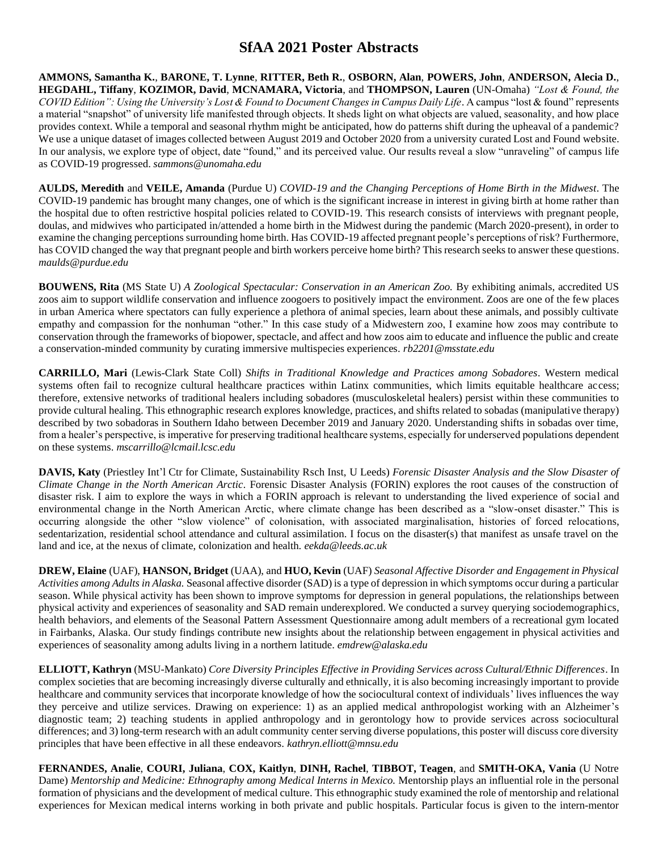**AMMONS, Samantha K.**, **BARONE, T. Lynne**, **RITTER, Beth R.**, **OSBORN, Alan**, **POWERS, John**, **ANDERSON, Alecia D.**, **HEGDAHL, Tiffany**, **KOZIMOR, David**, **MCNAMARA, Victoria**, and **THOMPSON, Lauren** (UN-Omaha) *"Lost & Found, the COVID Edition": Using the University's Lost & Found to Document Changes in Campus Daily Life*. A campus "lost & found" represents a material "snapshot" of university life manifested through objects. It sheds light on what objects are valued, seasonality, and how place provides context. While a temporal and seasonal rhythm might be anticipated, how do patterns shift during the upheaval of a pandemic? We use a unique dataset of images collected between August 2019 and October 2020 from a university curated Lost and Found website. In our analysis, we explore type of object, date "found," and its perceived value. Our results reveal a slow "unraveling" of campus life as COVID-19 progressed. *sammons@unomaha.edu*

**AULDS, Meredith** and **VEILE, Amanda** (Purdue U) *COVID-19 and the Changing Perceptions of Home Birth in the Midwest*. The COVID-19 pandemic has brought many changes, one of which is the significant increase in interest in giving birth at home rather than the hospital due to often restrictive hospital policies related to COVID-19. This research consists of interviews with pregnant people, doulas, and midwives who participated in/attended a home birth in the Midwest during the pandemic (March 2020-present), in order to examine the changing perceptions surrounding home birth. Has COVID-19 affected pregnant people's perceptions of risk? Furthermore, has COVID changed the way that pregnant people and birth workers perceive home birth? This research seeks to answer these questions. *maulds@purdue.edu*

**BOUWENS, Rita** (MS State U) *A Zoological Spectacular: Conservation in an American Zoo.* By exhibiting animals, accredited US zoos aim to support wildlife conservation and influence zoogoers to positively impact the environment. Zoos are one of the few places in urban America where spectators can fully experience a plethora of animal species, learn about these animals, and possibly cultivate empathy and compassion for the nonhuman "other." In this case study of a Midwestern zoo, I examine how zoos may contribute to conservation through the frameworks of biopower, spectacle, and affect and how zoos aim to educate and influence the public and create a conservation-minded community by curating immersive multispecies experiences. *rb2201@msstate.edu*

**CARRILLO, Mari** (Lewis-Clark State Coll) *Shifts in Traditional Knowledge and Practices among Sobadores.* Western medical systems often fail to recognize cultural healthcare practices within Latinx communities, which limits equitable healthcare access; therefore, extensive networks of traditional healers including sobadores (musculoskeletal healers) persist within these communities to provide cultural healing. This ethnographic research explores knowledge, practices, and shifts related to sobadas (manipulative therapy) described by two sobadoras in Southern Idaho between December 2019 and January 2020. Understanding shifts in sobadas over time, from a healer's perspective, is imperative for preserving traditional healthcare systems, especially for underserved populations dependent on these systems. *mscarrillo@lcmail.lcsc.edu*

**DAVIS, Katy** (Priestley Int'l Ctr for Climate, Sustainability Rsch Inst, U Leeds) *Forensic Disaster Analysis and the Slow Disaster of Climate Change in the North American Arctic.* Forensic Disaster Analysis (FORIN) explores the root causes of the construction of disaster risk. I aim to explore the ways in which a FORIN approach is relevant to understanding the lived experience of social and environmental change in the North American Arctic, where climate change has been described as a "slow-onset disaster." This is occurring alongside the other "slow violence" of colonisation, with associated marginalisation, histories of forced relocations, sedentarization, residential school attendance and cultural assimilation. I focus on the disaster(s) that manifest as unsafe travel on the land and ice, at the nexus of climate, colonization and health. *eekda@leeds.ac.uk*

**DREW, Elaine** (UAF), **HANSON, Bridget** (UAA), and **HUO, Kevin** (UAF) *Seasonal Affective Disorder and Engagement in Physical Activities among Adults in Alaska.*Seasonal affective disorder (SAD) is a type of depression in which symptoms occur during a particular season. While physical activity has been shown to improve symptoms for depression in general populations, the relationships between physical activity and experiences of seasonality and SAD remain underexplored. We conducted a survey querying sociodemographics, health behaviors, and elements of the Seasonal Pattern Assessment Questionnaire among adult members of a recreational gym located in Fairbanks, Alaska. Our study findings contribute new insights about the relationship between engagement in physical activities and experiences of seasonality among adults living in a northern latitude. *emdrew@alaska.edu*

**ELLIOTT, Kathryn** (MSU-Mankato) *Core Diversity Principles Effective in Providing Services across Cultural/Ethnic Differences*. In complex societies that are becoming increasingly diverse culturally and ethnically, it is also becoming increasingly important to provide healthcare and community services that incorporate knowledge of how the sociocultural context of individuals' lives influences the way they perceive and utilize services. Drawing on experience: 1) as an applied medical anthropologist working with an Alzheimer's diagnostic team; 2) teaching students in applied anthropology and in gerontology how to provide services across sociocultural differences; and 3) long-term research with an adult community center serving diverse populations, this poster will discuss core diversity principles that have been effective in all these endeavors. *kathryn.elliott@mnsu.edu*

**FERNANDES, Analie**, **COURI, Juliana**, **COX, Kaitlyn**, **DINH, Rachel**, **TIBBOT, Teagen**, and **SMITH-OKA, Vania** (U Notre Dame) *Mentorship and Medicine: Ethnography among Medical Interns in Mexico.* Mentorship plays an influential role in the personal formation of physicians and the development of medical culture. This ethnographic study examined the role of mentorship and relational experiences for Mexican medical interns working in both private and public hospitals. Particular focus is given to the intern-mentor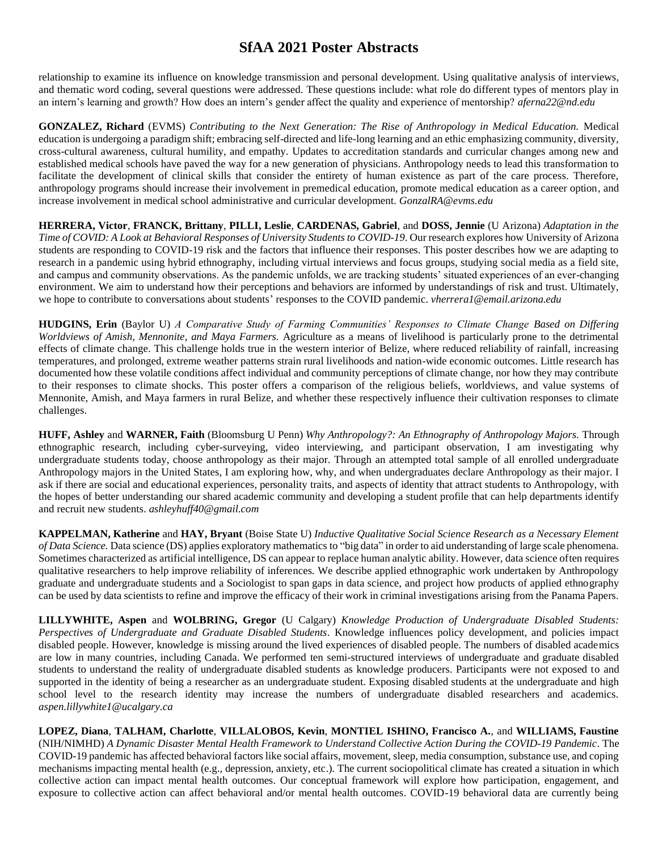relationship to examine its influence on knowledge transmission and personal development. Using qualitative analysis of interviews, and thematic word coding, several questions were addressed. These questions include: what role do different types of mentors play in an intern's learning and growth? How does an intern's gender affect the quality and experience of mentorship? *aferna22@nd.edu*

**GONZALEZ, Richard** (EVMS) *Contributing to the Next Generation: The Rise of Anthropology in Medical Education.* Medical education is undergoing a paradigm shift; embracing self-directed and life-long learning and an ethic emphasizing community, diversity, cross-cultural awareness, cultural humility, and empathy. Updates to accreditation standards and curricular changes among new and established medical schools have paved the way for a new generation of physicians. Anthropology needs to lead this transformation to facilitate the development of clinical skills that consider the entirety of human existence as part of the care process. Therefore, anthropology programs should increase their involvement in premedical education, promote medical education as a career option, and increase involvement in medical school administrative and curricular development. *GonzalRA@evms.edu*

**HERRERA, Victor**, **FRANCK, Brittany**, **PILLI, Leslie**, **CARDENAS, Gabriel**, and **DOSS, Jennie** (U Arizona) *Adaptation in the Time of COVID: A Look at Behavioral Responses of University Students to COVID-19*. Our research explores how University of Arizona students are responding to COVID-19 risk and the factors that influence their responses. This poster describes how we are adapting to research in a pandemic using hybrid ethnography, including virtual interviews and focus groups, studying social media as a field site, and campus and community observations. As the pandemic unfolds, we are tracking students' situated experiences of an ever-changing environment. We aim to understand how their perceptions and behaviors are informed by understandings of risk and trust. Ultimately, we hope to contribute to conversations about students' responses to the COVID pandemic. *vherrera1@email.arizona.edu*

**HUDGINS, Erin** (Baylor U) *A Comparative Study of Farming Communities' Responses to Climate Change Based on Differing Worldviews of Amish, Mennonite, and Maya Farmers.* Agriculture as a means of livelihood is particularly prone to the detrimental effects of climate change. This challenge holds true in the western interior of Belize, where reduced reliability of rainfall, increasing temperatures, and prolonged, extreme weather patterns strain rural livelihoods and nation-wide economic outcomes. Little research has documented how these volatile conditions affect individual and community perceptions of climate change, nor how they may contribute to their responses to climate shocks. This poster offers a comparison of the religious beliefs, worldviews, and value systems of Mennonite, Amish, and Maya farmers in rural Belize, and whether these respectively influence their cultivation responses to climate challenges.

**HUFF, Ashley** and **WARNER, Faith** (Bloomsburg U Penn) *Why Anthropology?: An Ethnography of Anthropology Majors.* Through ethnographic research, including cyber-surveying, video interviewing, and participant observation, I am investigating why undergraduate students today, choose anthropology as their major. Through an attempted total sample of all enrolled undergraduate Anthropology majors in the United States, I am exploring how, why, and when undergraduates declare Anthropology as their major. I ask if there are social and educational experiences, personality traits, and aspects of identity that attract students to Anthropology, with the hopes of better understanding our shared academic community and developing a student profile that can help departments identify and recruit new students. *ashleyhuff40@gmail.com*

**KAPPELMAN, Katherine** and **HAY, Bryant** (Boise State U) *Inductive Qualitative Social Science Research as a Necessary Element of Data Science.* Data science (DS) applies exploratory mathematics to "big data" in order to aid understanding of large scale phenomena. Sometimes characterized as artificial intelligence, DS can appear to replace human analytic ability. However, data science often requires qualitative researchers to help improve reliability of inferences. We describe applied ethnographic work undertaken by Anthropology graduate and undergraduate students and a Sociologist to span gaps in data science, and project how products of applied ethnography can be used by data scientists to refine and improve the efficacy of their work in criminal investigations arising from the Panama Papers.

**LILLYWHITE, Aspen** and **WOLBRING, Gregor** (U Calgary) *Knowledge Production of Undergraduate Disabled Students: Perspectives of Undergraduate and Graduate Disabled Students.* Knowledge influences policy development, and policies impact disabled people. However, knowledge is missing around the lived experiences of disabled people. The numbers of disabled academics are low in many countries, including Canada. We performed ten semi-structured interviews of undergraduate and graduate disabled students to understand the reality of undergraduate disabled students as knowledge producers. Participants were not exposed to and supported in the identity of being a researcher as an undergraduate student. Exposing disabled students at the undergraduate and high school level to the research identity may increase the numbers of undergraduate disabled researchers and academics. *aspen.lillywhite1@ucalgary.ca*

**LOPEZ, Diana**, **TALHAM, Charlotte**, **VILLALOBOS, Kevin**, **MONTIEL ISHINO, Francisco A.**, and **WILLIAMS, Faustine** (NIH/NIMHD) *A Dynamic Disaster Mental Health Framework to Understand Collective Action During the COVID-19 Pandemic*. The COVID-19 pandemic has affected behavioral factors like social affairs, movement, sleep, media consumption, substance use, and coping mechanisms impacting mental health (e.g., depression, anxiety, etc.). The current sociopolitical climate has created a situation in which collective action can impact mental health outcomes. Our conceptual framework will explore how participation, engagement, and exposure to collective action can affect behavioral and/or mental health outcomes. COVID-19 behavioral data are currently being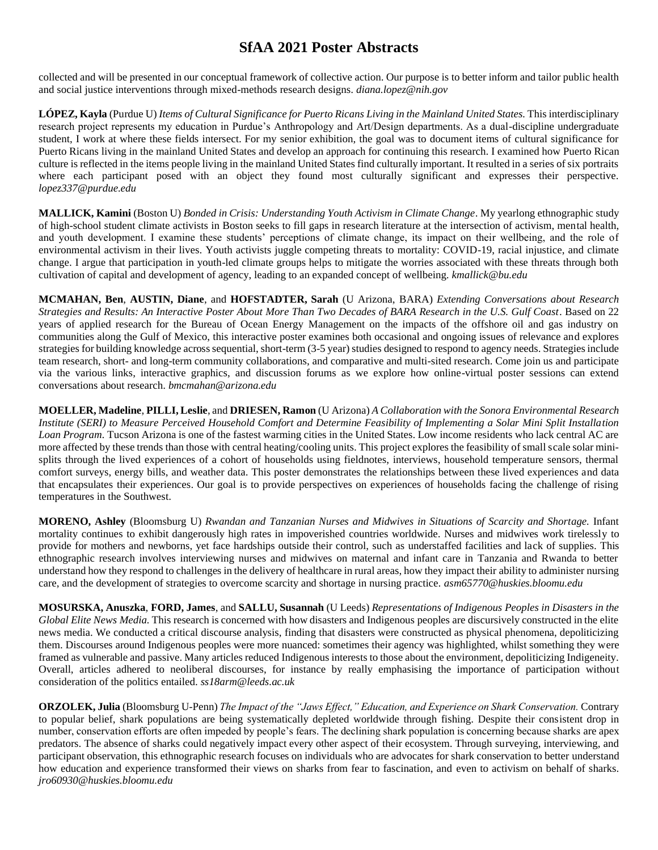collected and will be presented in our conceptual framework of collective action. Our purpose is to better inform and tailor public health and social justice interventions through mixed-methods research designs. *diana.lopez@nih.gov*

**LÓPEZ, Kayla** (Purdue U) *Items of Cultural Significance for Puerto Ricans Living in the Mainland United States.* This interdisciplinary research project represents my education in Purdue's Anthropology and Art/Design departments. As a dual-discipline undergraduate student, I work at where these fields intersect. For my senior exhibition, the goal was to document items of cultural significance for Puerto Ricans living in the mainland United States and develop an approach for continuing this research. I examined how Puerto Rican culture is reflected in the items people living in the mainland United States find culturally important. It resulted in a series of six portraits where each participant posed with an object they found most culturally significant and expresses their perspective. *lopez337@purdue.edu*

**MALLICK, Kamini** (Boston U) *Bonded in Crisis: Understanding Youth Activism in Climate Change*. My yearlong ethnographic study of high-school student climate activists in Boston seeks to fill gaps in research literature at the intersection of activism, mental health, and youth development. I examine these students' perceptions of climate change, its impact on their wellbeing, and the role of environmental activism in their lives. Youth activists juggle competing threats to mortality: COVID-19, racial injustice, and climate change. I argue that participation in youth-led climate groups helps to mitigate the worries associated with these threats through both cultivation of capital and development of agency, leading to an expanded concept of wellbeing. *kmallick@bu.edu*

**MCMAHAN, Ben**, **AUSTIN, Diane**, and **HOFSTADTER, Sarah** (U Arizona, BARA) *Extending Conversations about Research Strategies and Results: An Interactive Poster About More Than Two Decades of BARA Research in the U.S. Gulf Coast*. Based on 22 years of applied research for the Bureau of Ocean Energy Management on the impacts of the offshore oil and gas industry on communities along the Gulf of Mexico, this interactive poster examines both occasional and ongoing issues of relevance and explores strategies for building knowledge across sequential, short-term (3-5 year) studies designed to respond to agency needs. Strategies include team research, short- and long-term community collaborations, and comparative and multi-sited research. Come join us and participate via the various links, interactive graphics, and discussion forums as we explore how online-virtual poster sessions can extend conversations about research. *bmcmahan@arizona.edu*

**MOELLER, Madeline**, **PILLI, Leslie**, and **DRIESEN, Ramon**(U Arizona) *A Collaboration with the Sonora Environmental Research Institute (SERI) to Measure Perceived Household Comfort and Determine Feasibility of Implementing a Solar Mini Split Installation Loan Program.* Tucson Arizona is one of the fastest warming cities in the United States. Low income residents who lack central AC are more affected by these trends than those with central heating/cooling units. This project explores the feasibility of small scale solar minisplits through the lived experiences of a cohort of households using fieldnotes, interviews, household temperature sensors, thermal comfort surveys, energy bills, and weather data. This poster demonstrates the relationships between these lived experiences and data that encapsulates their experiences. Our goal is to provide perspectives on experiences of households facing the challenge of rising temperatures in the Southwest.

**MORENO, Ashley** (Bloomsburg U) *Rwandan and Tanzanian Nurses and Midwives in Situations of Scarcity and Shortage.* Infant mortality continues to exhibit dangerously high rates in impoverished countries worldwide. Nurses and midwives work tirelessly to provide for mothers and newborns, yet face hardships outside their control, such as understaffed facilities and lack of supplies. This ethnographic research involves interviewing nurses and midwives on maternal and infant care in Tanzania and Rwanda to better understand how they respond to challenges in the delivery of healthcare in rural areas, how they impact their ability to administer nursing care, and the development of strategies to overcome scarcity and shortage in nursing practice. *asm65770@huskies.bloomu.edu*

**MOSURSKA, Anuszka**, **FORD, James**, and **SALLU, Susannah** (U Leeds) *Representations of Indigenous Peoples in Disasters in the Global Elite News Media.* This research is concerned with how disasters and Indigenous peoples are discursively constructed in the elite news media. We conducted a critical discourse analysis, finding that disasters were constructed as physical phenomena, depoliticizing them. Discourses around Indigenous peoples were more nuanced: sometimes their agency was highlighted, whilst something they were framed as vulnerable and passive. Many articles reduced Indigenous interests to those about the environment, depoliticizing Indigeneity. Overall, articles adhered to neoliberal discourses, for instance by really emphasising the importance of participation without consideration of the politics entailed. *ss18arm@leeds.ac.uk*

**ORZOLEK, Julia** (Bloomsburg U-Penn)*The Impact of the "Jaws Effect," Education, and Experience on Shark Conservation.* Contrary to popular belief, shark populations are being systematically depleted worldwide through fishing. Despite their consistent drop in number, conservation efforts are often impeded by people's fears. The declining shark population is concerning because sharks are apex predators. The absence of sharks could negatively impact every other aspect of their ecosystem. Through surveying, interviewing, and participant observation, this ethnographic research focuses on individuals who are advocates for shark conservation to better understand how education and experience transformed their views on sharks from fear to fascination, and even to activism on behalf of sharks. *jro60930@huskies.bloomu.edu*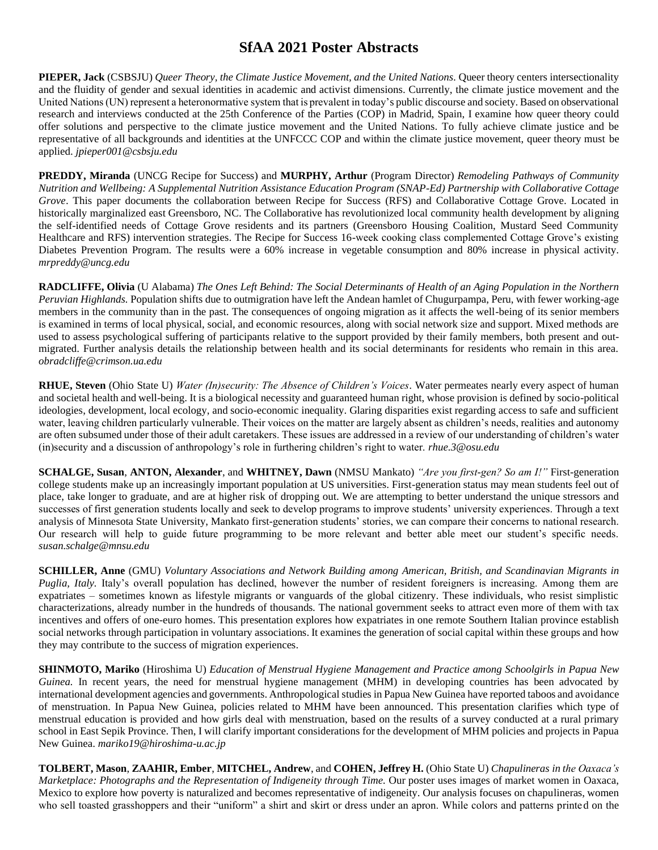**PIEPER, Jack** (CSBSJU) *Queer Theory, the Climate Justice Movement, and the United Nations.* Queer theory centers intersectionality and the fluidity of gender and sexual identities in academic and activist dimensions. Currently, the climate justice movement and the United Nations (UN) represent a heteronormative system that is prevalent in today's public discourse and society. Based on observational research and interviews conducted at the 25th Conference of the Parties (COP) in Madrid, Spain, I examine how queer theory could offer solutions and perspective to the climate justice movement and the United Nations. To fully achieve climate justice and be representative of all backgrounds and identities at the UNFCCC COP and within the climate justice movement, queer theory must be applied. *jpieper001@csbsju.edu*

**PREDDY, Miranda** (UNCG Recipe for Success) and **MURPHY, Arthur** (Program Director) *Remodeling Pathways of Community Nutrition and Wellbeing: A Supplemental Nutrition Assistance Education Program (SNAP-Ed) Partnership with Collaborative Cottage Grove*. This paper documents the collaboration between Recipe for Success (RFS) and Collaborative Cottage Grove. Located in historically marginalized east Greensboro, NC. The Collaborative has revolutionized local community health development by aligning the self-identified needs of Cottage Grove residents and its partners (Greensboro Housing Coalition, Mustard Seed Community Healthcare and RFS) intervention strategies. The Recipe for Success 16-week cooking class complemented Cottage Grove's existing Diabetes Prevention Program. The results were a 60% increase in vegetable consumption and 80% increase in physical activity. *mrpreddy@uncg.edu*

**RADCLIFFE, Olivia** (U Alabama) *The Ones Left Behind: The Social Determinants of Health of an Aging Population in the Northern Peruvian Highlands.* Population shifts due to outmigration have left the Andean hamlet of Chugurpampa, Peru, with fewer working-age members in the community than in the past. The consequences of ongoing migration as it affects the well-being of its senior members is examined in terms of local physical, social, and economic resources, along with social network size and support. Mixed methods are used to assess psychological suffering of participants relative to the support provided by their family members, both present and outmigrated. Further analysis details the relationship between health and its social determinants for residents who remain in this area. *obradcliffe@crimson.ua.edu*

**RHUE, Steven** (Ohio State U) *Water (In)security: The Absence of Children's Voices.* Water permeates nearly every aspect of human and societal health and well-being. It is a biological necessity and guaranteed human right, whose provision is defined by socio-political ideologies, development, local ecology, and socio-economic inequality. Glaring disparities exist regarding access to safe and sufficient water, leaving children particularly vulnerable. Their voices on the matter are largely absent as children's needs, realities and autonomy are often subsumed under those of their adult caretakers. These issues are addressed in a review of our understanding of children's water (in)security and a discussion of anthropology's role in furthering children's right to water. *rhue.3@osu.edu*

**SCHALGE, Susan**, **ANTON, Alexander**, and **WHITNEY, Dawn** (NMSU Mankato) *"Are you first-gen? So am I!"* First-generation college students make up an increasingly important population at US universities. First-generation status may mean students feel out of place, take longer to graduate, and are at higher risk of dropping out. We are attempting to better understand the unique stressors and successes of first generation students locally and seek to develop programs to improve students' university experiences. Through a text analysis of Minnesota State University, Mankato first-generation students' stories, we can compare their concerns to national research. Our research will help to guide future programming to be more relevant and better able meet our student's specific needs. *susan.schalge@mnsu.edu*

**SCHILLER, Anne** (GMU) *Voluntary Associations and Network Building among American, British, and Scandinavian Migrants in Puglia, Italy.* Italy's overall population has declined, however the number of resident foreigners is increasing. Among them are expatriates – sometimes known as lifestyle migrants or vanguards of the global citizenry. These individuals, who resist simplistic characterizations, already number in the hundreds of thousands. The national government seeks to attract even more of them with tax incentives and offers of one-euro homes. This presentation explores how expatriates in one remote Southern Italian province establish social networks through participation in voluntary associations. It examines the generation of social capital within these groups and how they may contribute to the success of migration experiences.

**SHINMOTO, Mariko** (Hiroshima U) *Education of Menstrual Hygiene Management and Practice among Schoolgirls in Papua New Guinea*. In recent years, the need for menstrual hygiene management (MHM) in developing countries has been advocated by international development agencies and governments. Anthropological studies in Papua New Guinea have reported taboos and avoidance of menstruation. In Papua New Guinea, policies related to MHM have been announced. This presentation clarifies which type of menstrual education is provided and how girls deal with menstruation, based on the results of a survey conducted at a rural primary school in East Sepik Province. Then, I will clarify important considerations for the development of MHM policies and projects in Papua New Guinea. *mariko19@hiroshima-u.ac.jp*

**TOLBERT, Mason**, **ZAAHIR, Ember**, **MITCHEL, Andrew**, and **COHEN, Jeffrey H.** (Ohio State U) *Chapulineras in the Oaxaca's Marketplace: Photographs and the Representation of Indigeneity through Time.* Our poster uses images of market women in Oaxaca, Mexico to explore how poverty is naturalized and becomes representative of indigeneity. Our analysis focuses on chapulineras, women who sell toasted grasshoppers and their "uniform" a shirt and skirt or dress under an apron. While colors and patterns printed on the